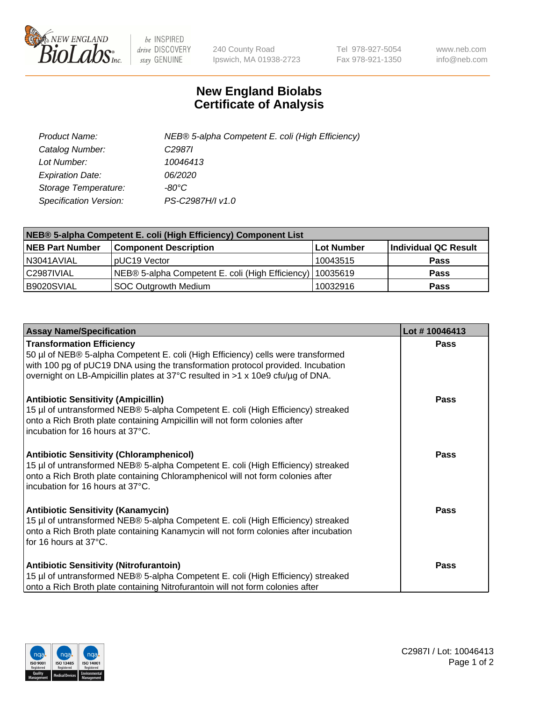

 $be$  INSPIRED drive DISCOVERY stay GENUINE

240 County Road Ipswich, MA 01938-2723 Tel 978-927-5054 Fax 978-921-1350 www.neb.com info@neb.com

## **New England Biolabs Certificate of Analysis**

| Product Name:           | NEB® 5-alpha Competent E. coli (High Efficiency) |
|-------------------------|--------------------------------------------------|
| Catalog Number:         | C <sub>2987</sub>                                |
| Lot Number:             | 10046413                                         |
| <b>Expiration Date:</b> | <i>06/2020</i>                                   |
| Storage Temperature:    | -80°C                                            |
| Specification Version:  | PS-C2987H/I v1.0                                 |

| NEB® 5-alpha Competent E. coli (High Efficiency) Component List |                                                  |            |                      |  |
|-----------------------------------------------------------------|--------------------------------------------------|------------|----------------------|--|
| <b>NEB Part Number</b>                                          | <b>Component Description</b>                     | Lot Number | Individual QC Result |  |
| N3041AVIAL                                                      | pUC19 Vector                                     | 10043515   | <b>Pass</b>          |  |
| C2987IVIAL                                                      | NEB® 5-alpha Competent E. coli (High Efficiency) | 10035619   | <b>Pass</b>          |  |
| B9020SVIAL                                                      | SOC Outgrowth Medium                             | 10032916   | <b>Pass</b>          |  |

| <b>Assay Name/Specification</b>                                                                                                                                                                                                                                                           | Lot #10046413 |
|-------------------------------------------------------------------------------------------------------------------------------------------------------------------------------------------------------------------------------------------------------------------------------------------|---------------|
| <b>Transformation Efficiency</b><br>50 µl of NEB® 5-alpha Competent E. coli (High Efficiency) cells were transformed<br>with 100 pg of pUC19 DNA using the transformation protocol provided. Incubation<br>overnight on LB-Ampicillin plates at 37°C resulted in >1 x 10e9 cfu/µg of DNA. | <b>Pass</b>   |
| <b>Antibiotic Sensitivity (Ampicillin)</b><br>15 µl of untransformed NEB® 5-alpha Competent E. coli (High Efficiency) streaked<br>onto a Rich Broth plate containing Ampicillin will not form colonies after<br>incubation for 16 hours at 37°C.                                          | Pass          |
| <b>Antibiotic Sensitivity (Chloramphenicol)</b><br>15 µl of untransformed NEB® 5-alpha Competent E. coli (High Efficiency) streaked<br>onto a Rich Broth plate containing Chloramphenicol will not form colonies after<br>incubation for 16 hours at 37°C.                                | Pass          |
| <b>Antibiotic Sensitivity (Kanamycin)</b><br>15 µl of untransformed NEB® 5-alpha Competent E. coli (High Efficiency) streaked<br>onto a Rich Broth plate containing Kanamycin will not form colonies after incubation<br>for 16 hours at 37°C.                                            | Pass          |
| <b>Antibiotic Sensitivity (Nitrofurantoin)</b><br>15 µl of untransformed NEB® 5-alpha Competent E. coli (High Efficiency) streaked<br>onto a Rich Broth plate containing Nitrofurantoin will not form colonies after                                                                      | <b>Pass</b>   |